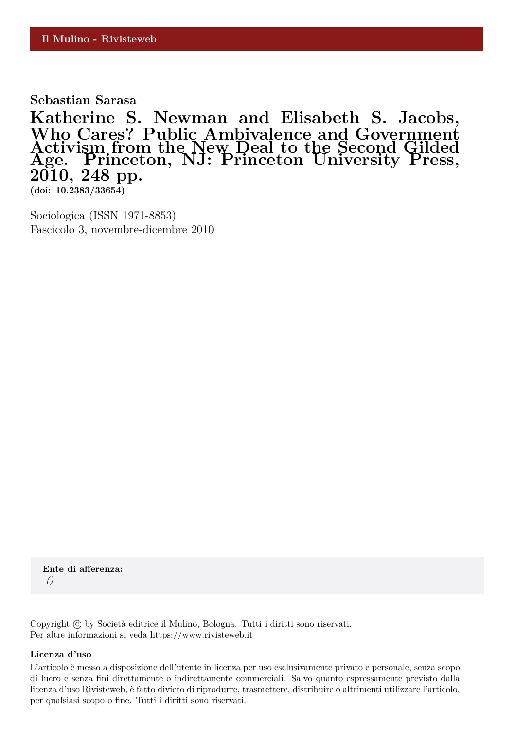**Sebastian Sarasa**

**Katherine S. Newman and Elisabeth S. Jacobs, Who Cares? Public Ambivalence and Government Activism from the New Deal to the Second Gilded Age. Princeton, NJ: Princeton University Press, 2010, 248 pp.**

**(doi: 10.2383/33654)**

Sociologica (ISSN 1971-8853) Fascicolo 3, novembre-dicembre 2010

**Ente di afferenza:** *()*

Copyright © by Società editrice il Mulino, Bologna. Tutti i diritti sono riservati. Per altre informazioni si veda https://www.rivisteweb.it

## **Licenza d'uso**

L'articolo è messo a disposizione dell'utente in licenza per uso esclusivamente privato e personale, senza scopo di lucro e senza fini direttamente o indirettamente commerciali. Salvo quanto espressamente previsto dalla licenza d'uso Rivisteweb, è fatto divieto di riprodurre, trasmettere, distribuire o altrimenti utilizzare l'articolo, per qualsiasi scopo o fine. Tutti i diritti sono riservati.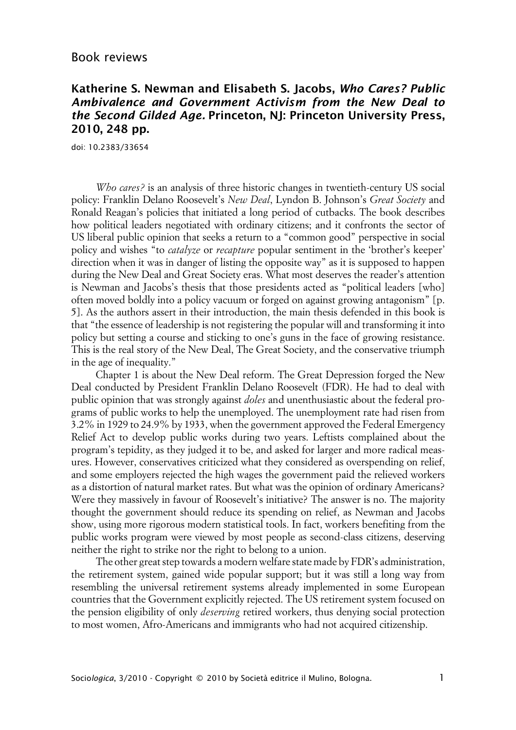## **Katherine S. Newman and Elisabeth S. Jacobs, Who Cares? Public Ambivalence and Government Activism from the New Deal to the Second Gilded Age. Princeton, NJ: Princeton University Press, 2010, 248 pp.**

doi: 10.2383/33654

*Who cares?* is an analysis of three historic changes in twentieth-century US social policy: Franklin Delano Roosevelt's *New Deal*, Lyndon B. Johnson's *Great Society* and Ronald Reagan's policies that initiated a long period of cutbacks. The book describes how political leaders negotiated with ordinary citizens; and it confronts the sector of US liberal public opinion that seeks a return to a "common good" perspective in social policy and wishes "to *catalyze* or *recapture* popular sentiment in the 'brother's keeper' direction when it was in danger of listing the opposite way" as it is supposed to happen during the New Deal and Great Society eras. What most deserves the reader's attention is Newman and Jacobs's thesis that those presidents acted as "political leaders [who] often moved boldly into a policy vacuum or forged on against growing antagonism" [p. 5]. As the authors assert in their introduction, the main thesis defended in this book is that "the essence of leadership is not registering the popular will and transforming it into policy but setting a course and sticking to one's guns in the face of growing resistance. This is the real story of the New Deal, The Great Society, and the conservative triumph in the age of inequality."

Chapter 1 is about the New Deal reform. The Great Depression forged the New Deal conducted by President Franklin Delano Roosevelt (FDR). He had to deal with public opinion that was strongly against *doles* and unenthusiastic about the federal programs of public works to help the unemployed. The unemployment rate had risen from 3.2% in 1929 to 24.9% by 1933, when the government approved the Federal Emergency Relief Act to develop public works during two years. Leftists complained about the program's tepidity, as they judged it to be, and asked for larger and more radical measures. However, conservatives criticized what they considered as overspending on relief, and some employers rejected the high wages the government paid the relieved workers as a distortion of natural market rates. But what was the opinion of ordinary Americans? Were they massively in favour of Roosevelt's initiative? The answer is no. The majority thought the government should reduce its spending on relief, as Newman and Jacobs show, using more rigorous modern statistical tools. In fact, workers benefiting from the public works program were viewed by most people as second-class citizens, deserving neither the right to strike nor the right to belong to a union.

The other great step towards a modern welfare state made by FDR's administration, the retirement system, gained wide popular support; but it was still a long way from resembling the universal retirement systems already implemented in some European countries that the Government explicitly rejected. The US retirement system focused on the pension eligibility of only *deserving* retired workers, thus denying social protection to most women, Afro-Americans and immigrants who had not acquired citizenship.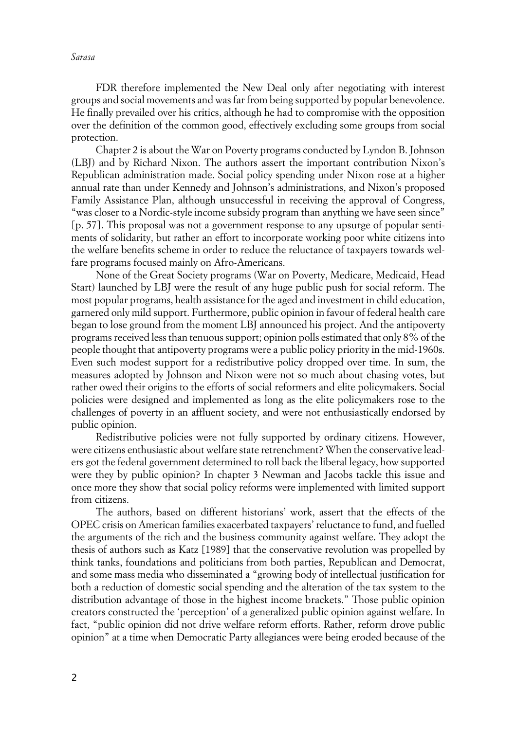*Sarasa*

FDR therefore implemented the New Deal only after negotiating with interest groups and social movements and was far from being supported by popular benevolence. He finally prevailed over his critics, although he had to compromise with the opposition over the definition of the common good, effectively excluding some groups from social protection.

Chapter 2 is about the War on Poverty programs conducted by Lyndon B. Johnson (LBJ) and by Richard Nixon. The authors assert the important contribution Nixon's Republican administration made. Social policy spending under Nixon rose at a higher annual rate than under Kennedy and Johnson's administrations, and Nixon's proposed Family Assistance Plan, although unsuccessful in receiving the approval of Congress, "was closer to a Nordic-style income subsidy program than anything we have seen since" [p. 57]. This proposal was not a government response to any upsurge of popular sentiments of solidarity, but rather an effort to incorporate working poor white citizens into the welfare benefits scheme in order to reduce the reluctance of taxpayers towards welfare programs focused mainly on Afro-Americans.

None of the Great Society programs (War on Poverty, Medicare, Medicaid, Head Start) launched by LBJ were the result of any huge public push for social reform. The most popular programs, health assistance for the aged and investment in child education, garnered only mild support. Furthermore, public opinion in favour of federal health care began to lose ground from the moment LBJ announced his project. And the antipoverty programs received less than tenuous support; opinion polls estimated that only 8% of the people thought that antipoverty programs were a public policy priority in the mid-1960s. Even such modest support for a redistributive policy dropped over time. In sum, the measures adopted by Johnson and Nixon were not so much about chasing votes, but rather owed their origins to the efforts of social reformers and elite policymakers. Social policies were designed and implemented as long as the elite policymakers rose to the challenges of poverty in an affluent society, and were not enthusiastically endorsed by public opinion.

Redistributive policies were not fully supported by ordinary citizens. However, were citizens enthusiastic about welfare state retrenchment? When the conservative leaders got the federal government determined to roll back the liberal legacy, how supported were they by public opinion? In chapter 3 Newman and Jacobs tackle this issue and once more they show that social policy reforms were implemented with limited support from citizens.

The authors, based on different historians' work, assert that the effects of the OPEC crisis on American families exacerbated taxpayers' reluctance to fund, and fuelled the arguments of the rich and the business community against welfare. They adopt the thesis of authors such as Katz [1989] that the conservative revolution was propelled by think tanks, foundations and politicians from both parties, Republican and Democrat, and some mass media who disseminated a "growing body of intellectual justification for both a reduction of domestic social spending and the alteration of the tax system to the distribution advantage of those in the highest income brackets." Those public opinion creators constructed the 'perception' of a generalized public opinion against welfare. In fact, "public opinion did not drive welfare reform efforts. Rather, reform drove public opinion" at a time when Democratic Party allegiances were being eroded because of the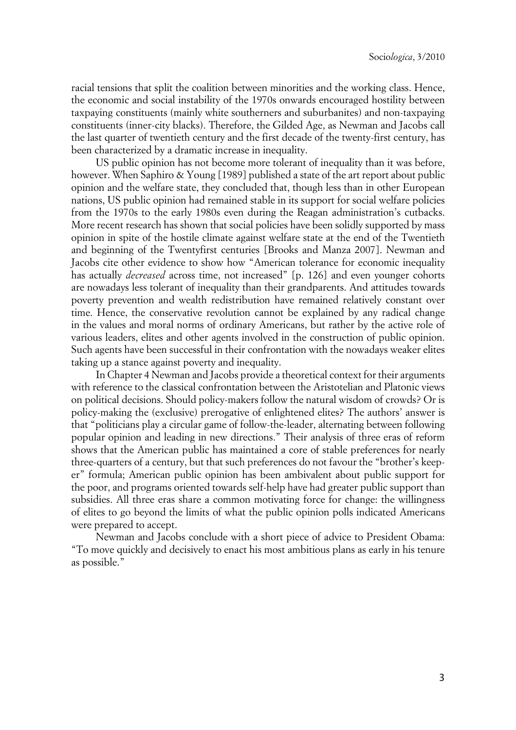racial tensions that split the coalition between minorities and the working class. Hence, the economic and social instability of the 1970s onwards encouraged hostility between taxpaying constituents (mainly white southerners and suburbanites) and non-taxpaying constituents (inner-city blacks). Therefore, the Gilded Age, as Newman and Jacobs call the last quarter of twentieth century and the first decade of the twenty-first century, has been characterized by a dramatic increase in inequality.

US public opinion has not become more tolerant of inequality than it was before, however. When Saphiro & Young [1989] published a state of the art report about public opinion and the welfare state, they concluded that, though less than in other European nations, US public opinion had remained stable in its support for social welfare policies from the 1970s to the early 1980s even during the Reagan administration's cutbacks. More recent research has shown that social policies have been solidly supported by mass opinion in spite of the hostile climate against welfare state at the end of the Twentieth and beginning of the Twentyfirst centuries [Brooks and Manza 2007]. Newman and Jacobs cite other evidence to show how "American tolerance for economic inequality has actually *decreased* across time, not increased" [p. 126] and even younger cohorts are nowadays less tolerant of inequality than their grandparents. And attitudes towards poverty prevention and wealth redistribution have remained relatively constant over time. Hence, the conservative revolution cannot be explained by any radical change in the values and moral norms of ordinary Americans, but rather by the active role of various leaders, elites and other agents involved in the construction of public opinion. Such agents have been successful in their confrontation with the nowadays weaker elites taking up a stance against poverty and inequality.

In Chapter 4 Newman and Jacobs provide a theoretical context for their arguments with reference to the classical confrontation between the Aristotelian and Platonic views on political decisions. Should policy-makers follow the natural wisdom of crowds? Or is policy-making the (exclusive) prerogative of enlightened elites? The authors' answer is that "politicians play a circular game of follow-the-leader, alternating between following popular opinion and leading in new directions." Their analysis of three eras of reform shows that the American public has maintained a core of stable preferences for nearly three-quarters of a century, but that such preferences do not favour the "brother's keeper" formula; American public opinion has been ambivalent about public support for the poor, and programs oriented towards self-help have had greater public support than subsidies. All three eras share a common motivating force for change: the willingness of elites to go beyond the limits of what the public opinion polls indicated Americans were prepared to accept.

Newman and Jacobs conclude with a short piece of advice to President Obama: "To move quickly and decisively to enact his most ambitious plans as early in his tenure as possible."